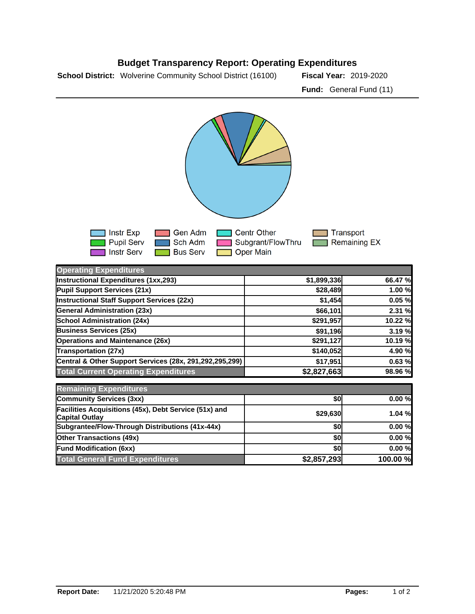



| <b>Operating Expenditures</b>                                                  |             |          |
|--------------------------------------------------------------------------------|-------------|----------|
| Instructional Expenditures (1xx,293)                                           | \$1,899,336 | 66.47 %  |
| Pupil Support Services (21x)                                                   | \$28,489    | 1.00 %   |
| <b>Instructional Staff Support Services (22x)</b>                              | \$1,454     | 0.05%    |
| <b>General Administration (23x)</b>                                            | \$66,101    | 2.31 %   |
| <b>School Administration (24x)</b>                                             | \$291,957   | 10.22 %  |
| <b>Business Services (25x)</b>                                                 | \$91,196    | 3.19%    |
| <b>Operations and Maintenance (26x)</b>                                        | \$291,127   | 10.19 %  |
| <b>Transportation (27x)</b>                                                    | \$140,052   | 4.90 %   |
| Central & Other Support Services (28x, 291,292,295,299)                        | \$17,951    | 0.63%    |
| <b>Total Current Operating Expenditures</b>                                    | \$2,827,663 | 98.96 %  |
| <b>Remaining Expenditures</b>                                                  |             |          |
| <b>Community Services (3xx)</b>                                                | \$0         | 0.00%    |
| Facilities Acquisitions (45x), Debt Service (51x) and<br><b>Capital Outlay</b> | \$29,630    | 1.04%    |
| Subgrantee/Flow-Through Distributions (41x-44x)                                | \$0         | 0.00%    |
| <b>Other Transactions (49x)</b>                                                | \$0         | 0.00%    |
| <b>Fund Modification (6xx)</b>                                                 | \$0         | 0.00%    |
| <b>Total General Fund Expenditures</b>                                         | \$2,857,293 | 100.00 % |